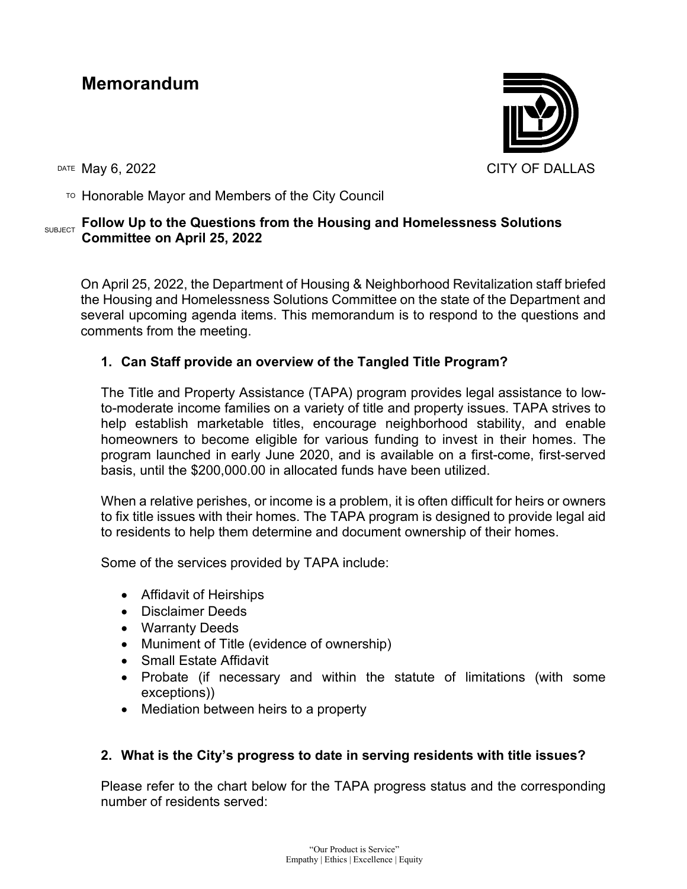# **Memorandum**

DATE May 6, 2022 CITY OF DALLAS

 $\overline{P}$  Honorable Mayor and Members of the City Council

#### SUBJECT **Follow Up to the Questions from the Housing and Homelessness Solutions Committee on April 25, 2022**

On April 25, 2022, the Department of Housing & Neighborhood Revitalization staff briefed the Housing and Homelessness Solutions Committee on the state of the Department and several upcoming agenda items. This memorandum is to respond to the questions and comments from the meeting.

## **1. Can Staff provide an overview of the Tangled Title Program?**

The Title and Property Assistance (TAPA) program provides legal assistance to lowto-moderate income families on a variety of title and property issues. TAPA strives to help establish marketable titles, encourage neighborhood stability, and enable homeowners to become eligible for various funding to invest in their homes. The program launched in early June 2020, and is available on a first-come, first-served basis, until the \$200,000.00 in allocated funds have been utilized.

When a relative perishes, or income is a problem, it is often difficult for heirs or owners to fix title issues with their homes. The TAPA program is designed to provide legal aid to residents to help them determine and document ownership of their homes.

Some of the services provided by TAPA include:

- Affidavit of Heirships
- Disclaimer Deeds
- Warranty Deeds
- Muniment of Title (evidence of ownership)
- Small Estate Affidavit
- Probate (if necessary and within the statute of limitations (with some exceptions))
- Mediation between heirs to a property

## **2. What is the City's progress to date in serving residents with title issues?**

Please refer to the chart below for the TAPA progress status and the corresponding number of residents served: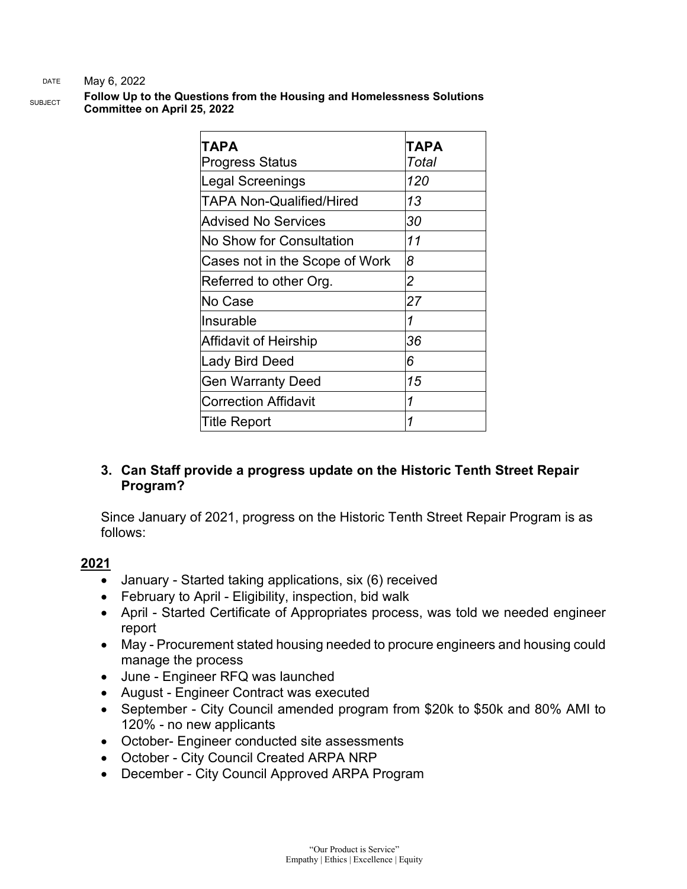#### DATE May 6, 2022

SUBJECT **Follow Up to the Questions from the Housing and Homelessness Solutions Committee on April 25, 2022**

| TAPA<br><b>Progress Status</b> | ТАРА<br>Total |
|--------------------------------|---------------|
| <b>Legal Screenings</b>        | 120           |
|                                |               |
| TAPA Non-Qualified/Hired       | 13            |
| <b>Advised No Services</b>     | 30            |
| No Show for Consultation       | 11            |
| Cases not in the Scope of Work | 8             |
| Referred to other Org.         | 2             |
| No Case                        | 27            |
| Insurable                      | 1             |
| <b>Affidavit of Heirship</b>   | 36            |
| <b>Lady Bird Deed</b>          | 6             |
| <b>Gen Warranty Deed</b>       | 15            |
| <b>Correction Affidavit</b>    | 1             |
| Title Report                   | 1             |

## **3. Can Staff provide a progress update on the Historic Tenth Street Repair Program?**

Since January of 2021, progress on the Historic Tenth Street Repair Program is as follows:

#### **2021**

- January Started taking applications, six (6) received
- February to April Eligibility, inspection, bid walk
- April Started Certificate of Appropriates process, was told we needed engineer report
- May Procurement stated housing needed to procure engineers and housing could manage the process
- June Engineer RFQ was launched
- August Engineer Contract was executed
- September City Council amended program from \$20k to \$50k and 80% AMI to 120% - no new applicants
- October- Engineer conducted site assessments
- October City Council Created ARPA NRP
- December City Council Approved ARPA Program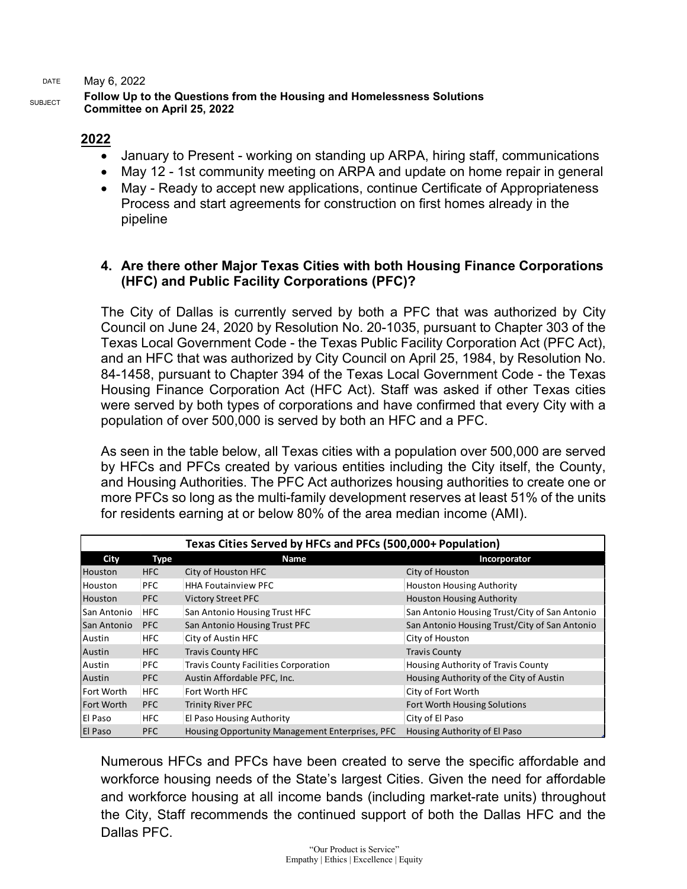DATE May 6, 2022

#### SUBJECT **Follow Up to the Questions from the Housing and Homelessness Solutions Committee on April 25, 2022**

#### **2022**

- January to Present working on standing up ARPA, hiring staff, communications
- May 12 1st community meeting on ARPA and update on home repair in general
- May Ready to accept new applications, continue Certificate of Appropriateness Process and start agreements for construction on first homes already in the pipeline

#### **4. Are there other Major Texas Cities with both Housing Finance Corporations (HFC) and Public Facility Corporations (PFC)?**

The City of Dallas is currently served by both a PFC that was authorized by City Council on June 24, 2020 by Resolution No. 20-1035, pursuant to Chapter 303 of the Texas Local Government Code - the Texas Public Facility Corporation Act (PFC Act), and an HFC that was authorized by City Council on April 25, 1984, by Resolution No. 84-1458, pursuant to Chapter 394 of the Texas Local Government Code - the Texas Housing Finance Corporation Act (HFC Act). Staff was asked if other Texas cities were served by both types of corporations and have confirmed that every City with a population of over 500,000 is served by both an HFC and a PFC.

As seen in the table below, all Texas cities with a population over 500,000 are served by HFCs and PFCs created by various entities including the City itself, the County, and Housing Authorities. The PFC Act authorizes housing authorities to create one or more PFCs so long as the multi-family development reserves at least 51% of the units for residents earning at or below 80% of the area median income (AMI).

| Texas Cities Served by HFCs and PFCs (500,000+ Population) |            |                                                 |                                               |
|------------------------------------------------------------|------------|-------------------------------------------------|-----------------------------------------------|
| City                                                       | Type       | <b>Name</b>                                     | Incorporator                                  |
| <b>Houston</b>                                             | HFC        | City of Houston HFC                             | City of Houston                               |
| Houston                                                    | <b>PFC</b> | <b>HHA Foutainview PFC</b>                      | <b>Houston Housing Authority</b>              |
| Houston                                                    | <b>PFC</b> | <b>Victory Street PFC</b>                       | <b>Houston Housing Authority</b>              |
| San Antonio                                                | <b>HFC</b> | San Antonio Housing Trust HFC                   | San Antonio Housing Trust/City of San Antonio |
| San Antonio                                                | <b>PFC</b> | San Antonio Housing Trust PFC                   | San Antonio Housing Trust/City of San Antonio |
| Austin                                                     | <b>HFC</b> | City of Austin HFC                              | City of Houston                               |
| Austin                                                     | <b>HFC</b> | <b>Travis County HFC</b>                        | <b>Travis County</b>                          |
| Austin                                                     | <b>PFC</b> | <b>Travis County Facilities Corporation</b>     | Housing Authority of Travis County            |
| Austin                                                     | PFC        | Austin Affordable PFC, Inc.                     | Housing Authority of the City of Austin       |
| lFort Worth                                                | <b>HFC</b> | Fort Worth HFC                                  | City of Fort Worth                            |
| <b>Fort Worth</b>                                          | <b>PFC</b> | <b>Trinity River PFC</b>                        | Fort Worth Housing Solutions                  |
| El Paso                                                    | <b>HFC</b> | El Paso Housing Authority                       | City of El Paso                               |
| <b>El Paso</b>                                             | PFC        | Housing Opportunity Management Enterprises, PFC | Housing Authority of El Paso                  |

Numerous HFCs and PFCs have been created to serve the specific affordable and workforce housing needs of the State's largest Cities. Given the need for affordable and workforce housing at all income bands (including market-rate units) throughout the City, Staff recommends the continued support of both the Dallas HFC and the Dallas PFC.